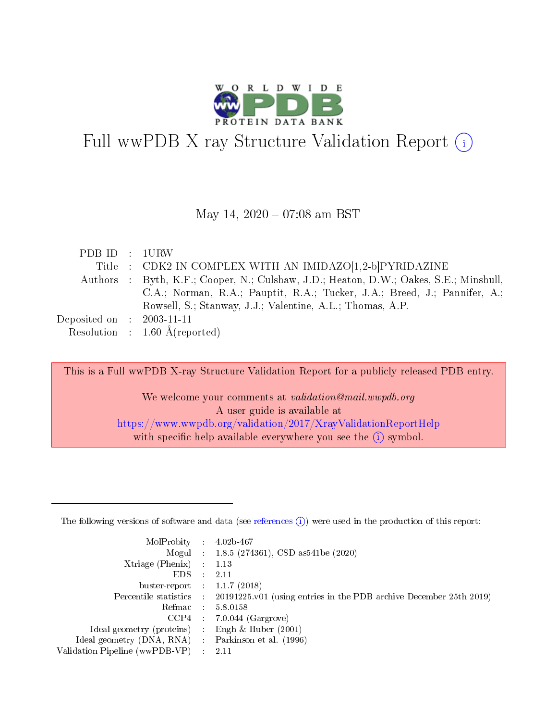

# Full wwPDB X-ray Structure Validation Report  $(i)$

### May 14,  $2020 - 07:08$  am BST

| PDB ID : 1URW               |                                                                                       |
|-----------------------------|---------------------------------------------------------------------------------------|
|                             | Title : CDK2 IN COMPLEX WITH AN IMIDAZO[1,2-b]PYRIDAZINE                              |
|                             | Authors : Byth, K.F.; Cooper, N.; Culshaw, J.D.; Heaton, D.W.; Oakes, S.E.; Minshull, |
|                             | C.A.; Norman, R.A.; Pauptit, R.A.; Tucker, J.A.; Breed, J.; Pannifer, A.;             |
|                             | Rowsell, S.; Stanway, J.J.; Valentine, A.L.; Thomas, A.P.                             |
| Deposited on : $2003-11-11$ |                                                                                       |
|                             | Resolution : $1.60 \text{ Å}$ (reported)                                              |

This is a Full wwPDB X-ray Structure Validation Report for a publicly released PDB entry.

We welcome your comments at validation@mail.wwpdb.org A user guide is available at <https://www.wwpdb.org/validation/2017/XrayValidationReportHelp> with specific help available everywhere you see the  $(i)$  symbol.

The following versions of software and data (see [references](https://www.wwpdb.org/validation/2017/XrayValidationReportHelp#references)  $(1)$ ) were used in the production of this report:

| MolProbity :                   |               | $4.02b - 467$                                                               |
|--------------------------------|---------------|-----------------------------------------------------------------------------|
|                                |               | Mogul : $1.8.5$ (274361), CSD as 541be (2020)                               |
| Xtriage (Phenix)               | $\mathcal{L}$ | 1.13                                                                        |
| EDS.                           |               | 2.11                                                                        |
| buster-report : $1.1.7$ (2018) |               |                                                                             |
| Percentile statistics :        |               | $20191225 \text{v}01$ (using entries in the PDB archive December 25th 2019) |
| Refmac :                       |               | 5.8.0158                                                                    |
| CCP4                           |               | $7.0.044$ (Gargrove)                                                        |
| Ideal geometry (proteins) :    |               | Engh $\&$ Huber (2001)                                                      |
| Ideal geometry (DNA, RNA) :    |               | Parkinson et al. (1996)                                                     |
| Validation Pipeline (wwPDB-VP) | $\mathcal{L}$ | 2.11                                                                        |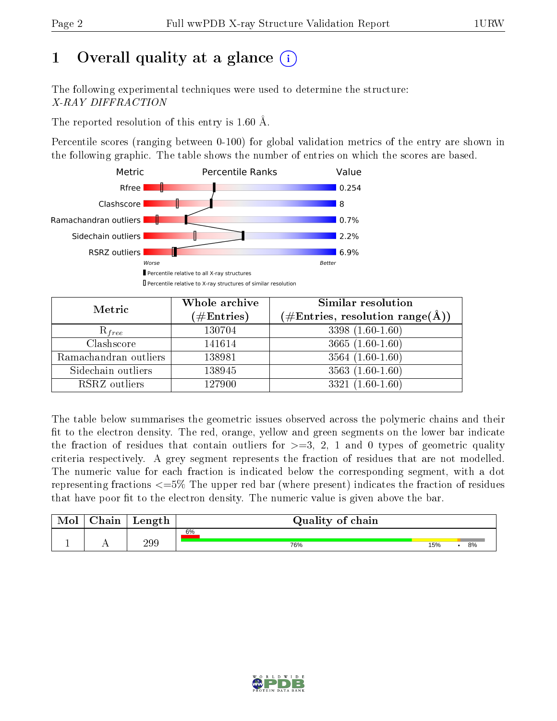# 1 [O](https://www.wwpdb.org/validation/2017/XrayValidationReportHelp#overall_quality)verall quality at a glance  $(i)$

The following experimental techniques were used to determine the structure: X-RAY DIFFRACTION

The reported resolution of this entry is 1.60 Å.

Percentile scores (ranging between 0-100) for global validation metrics of the entry are shown in the following graphic. The table shows the number of entries on which the scores are based.



| Metric                | Whole archive        | <b>Similar resolution</b>                                              |  |  |
|-----------------------|----------------------|------------------------------------------------------------------------|--|--|
|                       | $(\#\text{Entries})$ | $(\#\text{Entries},\,\text{resolution}\,\,\text{range}(\textup{\AA}))$ |  |  |
| $R_{free}$            | 130704               | $3398(1.60-1.60)$                                                      |  |  |
| Clashscore            | 141614               | $3665(1.60-1.60)$                                                      |  |  |
| Ramachandran outliers | 138981               | $3564(1.60-1.60)$                                                      |  |  |
| Sidechain outliers    | 138945               | $3563(1.60-1.60)$                                                      |  |  |
| RSRZ outliers         | 127900               | $3321(1.60-1.60)$                                                      |  |  |

The table below summarises the geometric issues observed across the polymeric chains and their fit to the electron density. The red, orange, yellow and green segments on the lower bar indicate the fraction of residues that contain outliers for  $>=3, 2, 1$  and 0 types of geometric quality criteria respectively. A grey segment represents the fraction of residues that are not modelled. The numeric value for each fraction is indicated below the corresponding segment, with a dot representing fractions  $\epsilon=5\%$  The upper red bar (where present) indicates the fraction of residues that have poor fit to the electron density. The numeric value is given above the bar.

| Mol | $\cap$ hain | Length | Quality of chain |           |  |  |  |
|-----|-------------|--------|------------------|-----------|--|--|--|
|     |             |        | 6%               |           |  |  |  |
| л.  | . .         | 299    | 76%              | 15%<br>8% |  |  |  |

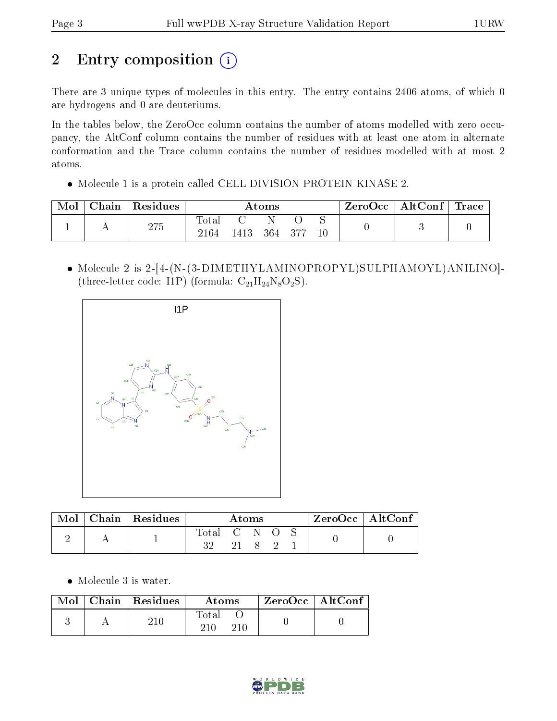# 2 Entry composition (i)

There are 3 unique types of molecules in this entry. The entry contains 2406 atoms, of which 0 are hydrogens and 0 are deuteriums.

In the tables below, the ZeroOcc column contains the number of atoms modelled with zero occupancy, the AltConf column contains the number of residues with at least one atom in alternate conformation and the Trace column contains the number of residues modelled with at most 2 atoms.

Molecule 1 is a protein called CELL DIVISION PROTEIN KINASE 2.

| Mol | Chain | Residues | $\rm{Atoms}$               |       |     |        | ZeroOcc | $\mid$ AltConf $\mid$ Trace |  |  |
|-----|-------|----------|----------------------------|-------|-----|--------|---------|-----------------------------|--|--|
|     |       | 275      | $\hbox{Total}$<br>$2164\,$ | 1413. | 364 | $-377$ | 10      |                             |  |  |

 Molecule 2 is 2-[4-(N-(3-DIMETHYLAMINOPROPYL)SULPHAMOYL)ANILINO]- (three-letter code: I1P) (formula:  $C_{21}H_{24}N_8O_2S$ ).



| Mol | $Chain   Residues$ | Atoms     |  |  | ZeroOcc   AltConf |  |  |  |
|-----|--------------------|-----------|--|--|-------------------|--|--|--|
|     |                    | Total C N |  |  |                   |  |  |  |

Molecule 3 is water.

|  | $\text{Mol}$   Chain   Residues | Atoms        | ZeroOcc   AltConf |  |
|--|---------------------------------|--------------|-------------------|--|
|  |                                 | <b>Total</b> |                   |  |

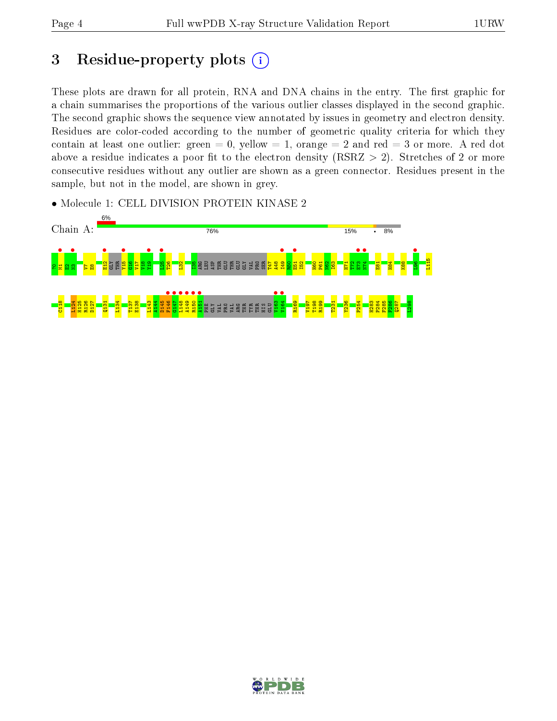# 3 Residue-property plots  $(i)$

These plots are drawn for all protein, RNA and DNA chains in the entry. The first graphic for a chain summarises the proportions of the various outlier classes displayed in the second graphic. The second graphic shows the sequence view annotated by issues in geometry and electron density. Residues are color-coded according to the number of geometric quality criteria for which they contain at least one outlier: green  $= 0$ , yellow  $= 1$ , orange  $= 2$  and red  $= 3$  or more. A red dot above a residue indicates a poor fit to the electron density (RSRZ  $> 2$ ). Stretches of 2 or more consecutive residues without any outlier are shown as a green connector. Residues present in the sample, but not in the model, are shown in grey.

• Molecule 1: CELL DIVISION PROTEIN KINASE 2



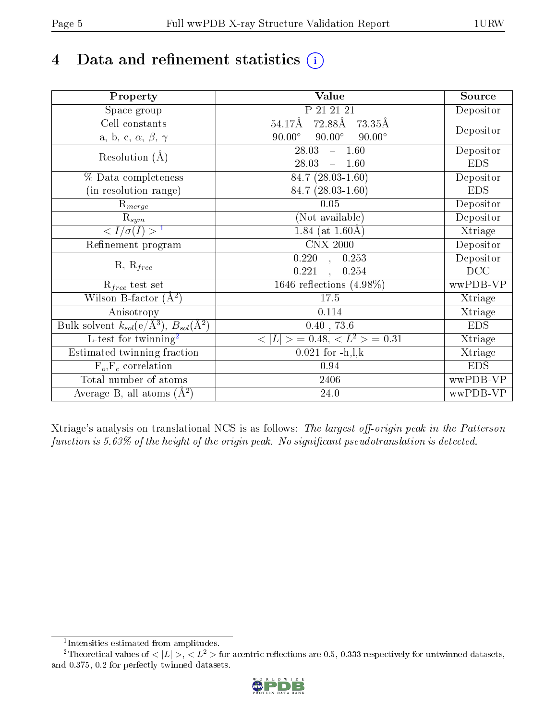# 4 Data and refinement statistics  $(i)$

| Property                                                   | <b>Value</b>                                    | Source     |
|------------------------------------------------------------|-------------------------------------------------|------------|
| Space group                                                | P 21 21 21                                      | Depositor  |
| Cell constants                                             | $72.88\text{\AA}$<br>73.35Å<br>54.17Å           |            |
| a, b, c, $\alpha$ , $\beta$ , $\gamma$                     | $90.00^\circ$<br>$90.00^\circ$<br>$90.00^\circ$ | Depositor  |
| Resolution $(A)$                                           | $-1.60$<br>28.03                                | Depositor  |
|                                                            | 28.03<br>$-1.60$                                | <b>EDS</b> |
| % Data completeness                                        | 84.7 (28.03-1.60)                               | Depositor  |
| (in resolution range)                                      | 84.7 (28.03-1.60)                               | <b>EDS</b> |
| $R_{merge}$                                                | 0.05                                            | Depositor  |
| $\mathrm{R}_{sym}$                                         | (Not available)                                 | Depositor  |
| $\langle I/\sigma(I) \rangle^{-1}$                         | 1.84 (at $1.60\text{\AA})$                      | Xtriage    |
| Refinement program                                         | <b>CNX 2000</b>                                 | Depositor  |
| $R, R_{free}$                                              | $\overline{0.220}$ ,<br>0.253                   | Depositor  |
|                                                            | 0.221<br>0.254                                  | DCC        |
| $R_{free}$ test set                                        | 1646 reflections $(4.98\%)$                     | wwPDB-VP   |
| Wilson B-factor $(A^2)$                                    | 17.5                                            | Xtriage    |
| Anisotropy                                                 | 0.114                                           | Xtriage    |
| Bulk solvent $k_{sol}$ (e/Å <sup>3</sup> ), $B_{sol}(A^2)$ | $0.40$ , 73.6                                   | <b>EDS</b> |
| L-test for twinning <sup>2</sup>                           | $< L >$ = 0.48, $< L2$ = 0.31                   | Xtriage    |
| Estimated twinning fraction                                | $0.021$ for $-h, l, k$                          | Xtriage    |
| $F_o, F_c$ correlation                                     | 0.94                                            | <b>EDS</b> |
| Total number of atoms                                      | 2406                                            | wwPDB-VP   |
| Average B, all atoms $(A^2)$                               | 24.0                                            | wwPDB-VP   |

Xtriage's analysis on translational NCS is as follows: The largest off-origin peak in the Patterson function is  $5.63\%$  of the height of the origin peak. No significant pseudotranslation is detected.

<sup>&</sup>lt;sup>2</sup>Theoretical values of  $\langle |L| \rangle$ ,  $\langle L^2 \rangle$  for acentric reflections are 0.5, 0.333 respectively for untwinned datasets, and 0.375, 0.2 for perfectly twinned datasets.



<span id="page-4-1"></span><span id="page-4-0"></span><sup>1</sup> Intensities estimated from amplitudes.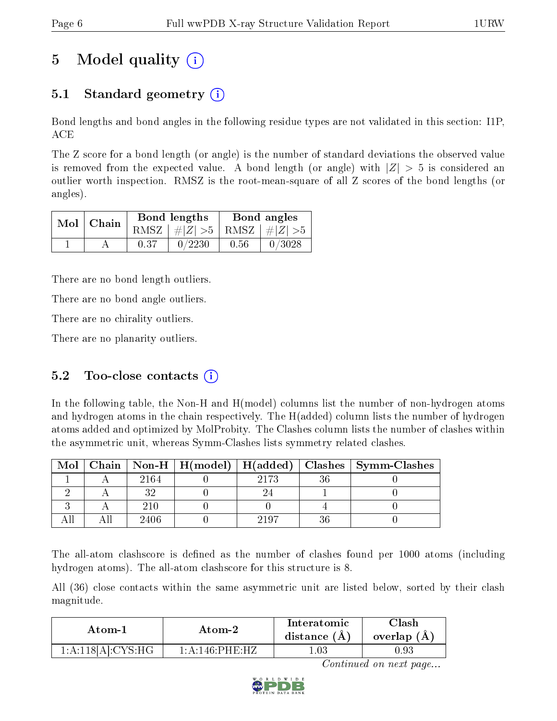# 5 Model quality  $(i)$

# 5.1 Standard geometry (i)

Bond lengths and bond angles in the following residue types are not validated in this section: I1P, ACE

The Z score for a bond length (or angle) is the number of standard deviations the observed value is removed from the expected value. A bond length (or angle) with  $|Z| > 5$  is considered an outlier worth inspection. RMSZ is the root-mean-square of all Z scores of the bond lengths (or angles).

|  | $Mol$   Chain |      | Bond lengths                    | Bond angles |        |  |
|--|---------------|------|---------------------------------|-------------|--------|--|
|  |               |      | RMSZ $ #Z  > 5$ RMSZ $ #Z  > 5$ |             |        |  |
|  |               | 0.37 | 0/2230                          | 0.56        | 0/3028 |  |

There are no bond length outliers.

There are no bond angle outliers.

There are no chirality outliers.

There are no planarity outliers.

### 5.2 Too-close contacts  $(i)$

In the following table, the Non-H and H(model) columns list the number of non-hydrogen atoms and hydrogen atoms in the chain respectively. The H(added) column lists the number of hydrogen atoms added and optimized by MolProbity. The Clashes column lists the number of clashes within the asymmetric unit, whereas Symm-Clashes lists symmetry related clashes.

| Mol |      |      | Chain   Non-H   H(model)   H(added)   Clashes   Symm-Clashes |
|-----|------|------|--------------------------------------------------------------|
|     | 2164 | 2173 |                                                              |
|     |      |      |                                                              |
|     | 210  |      |                                                              |
|     | 2406 | 2197 |                                                              |

The all-atom clashscore is defined as the number of clashes found per 1000 atoms (including hydrogen atoms). The all-atom clashscore for this structure is 8.

All (36) close contacts within the same asymmetric unit are listed below, sorted by their clash magnitude.

| Atom-1            | Atom-2                        | Interatomic<br>distance $(A)$ | Clash<br>overlap (A) |
|-------------------|-------------------------------|-------------------------------|----------------------|
| 1:A:118[A]:CYS:HG | $1: A:146 \cdot PHE \cdot HZ$ | $.03\,$                       | $0.93\,$             |

Continued on next page...

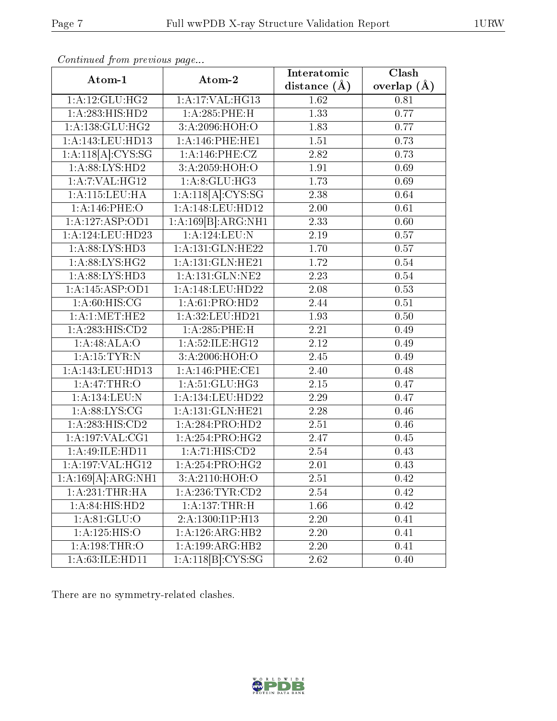| Atom-1                       | Atom-2              | Interatomic      | Clash         |
|------------------------------|---------------------|------------------|---------------|
|                              |                     | distance $(\AA)$ | overlap $(A)$ |
| 1: A:12: GLU: HG2            | 1:A:17:VAL:HG13     | 1.62             | 0.81          |
| 1:A:283:HIS:HD2              | 1:A:285:PHE:H       | 1.33             | 0.77          |
| 1: A: 138: GLU: HG2          | 3:A:2096:HOH:O      | 1.83             | 0.77          |
| 1:A:143:LEU:HD13             | 1: A:146:PHE:HE1    | $1.51\,$         | 0.73          |
| 1:A:118[A]:CYS:SG            | 1:A:146:PHE:CZ      | 2.82             | 0.73          |
| 1:A:88:LYS:HD2               | 3:A:2059:HOH:O      | 1.91             | 0.69          |
| 1:A:7:VAL:HG12               | 1: A:8: GLU: HG3    | 1.73             | 0.69          |
| 1:A:115:LEU:HA               | 1:A:118[A]:CYS:SG   | 2.38             | 0.64          |
| $1: A:146:$ PHE:O            | 1:A:148:LEU:HD12    | 2.00             | 0.61          |
| 1:A:127:ASP:OD1              | 1:A:169[B]:ARG:NH1  | 2.33             | 0.60          |
| 1:A:124:LEU:HD23             | 1: A:124:LEU: N     | 2.19             | 0.57          |
| 1:A:88:LYS:HD3               | 1:A:131:GLN:HE22    | 1.70             | 0.57          |
| 1:A:88:LYS:HG2               | 1:A:131:GLN:HE21    | 1.72             | $0.54\,$      |
| 1: A:88: LYS: HD3            | 1:A:131:GLN:NE2     | 2.23             | 0.54          |
| 1:A:145:ASP:OD1              | 1:A:148:LEU:HD22    | 2.08             | 0.53          |
| 1: A:60:HIS:CG               | 1:A:61:PRO:HD2      | 2.44             | 0.51          |
| 1: A:1: MET:HE2              | 1:A:32:LEU:HD21     | 1.93             | 0.50          |
| $1:A:283:H1\overline{S:CD2}$ | 1:A:285:PHE:H       | 2.21             | 0.49          |
| 1:A:48:ALA:O                 | 1:A:52:ILE:HG12     | 2.12             | 0.49          |
| 1: A:15:TYR:N                | 3:A:2006:HOH:O      | 2.45             | 0.49          |
| 1:A:143:LEU:HD13             | 1:A:146:PHE:CE1     | 2.40             | 0.48          |
| 1: A:47:THR:O                | 1:A:51:GLU:HG3      | 2.15             | 0.47          |
| 1:A:134:LEU:N                | 1:A:134:LEU:HD22    | 2.29             | 0.47          |
| 1: A:88: LYS: CG             | 1:A:131:GLN:HE21    | 2.28             | 0.46          |
| 1: A:283: HIS:CD2            | 1:A:284:PRO:HD2     | 2.51             | 0.46          |
| 1: A: 197: VAL: CG1          | 1:A:254:PRO:HG2     | 2.47             | 0.45          |
| 1:A:49:ILE:HD11              | 1:A:71:HIS:CD2      | 2.54             | 0.43          |
| 1:A:197:VAL:HG12             | 1:A:254:PRO:HG2     | 2.01             | 0.43          |
| 1:A:169[A]:ARG:NH1           | 3:A:2110:HOH:O      | 2.51             | 0.42          |
| 1:A:231:THR:HA               | 1: A: 236: TYR: CD2 | 2.54             | 0.42          |
| 1: A:84: HIS: HD2            | 1:A:137:THR:H       | 1.66             | 0.42          |
| 1: A:81: GLU:O               | 2:A:1300:I1P:H13    | 2.20             | 0.41          |
| 1:A:125:HIS:O                | 1:A:126:ARG:HB2     | 2.20             | 0.41          |
| 1:A:198:THR:O                | 1:A:199:ARG:HB2     | 2.20             | 0.41          |
| 1:A:63:ILE:HD11              | 1:A:118[B]:CYS:SG   | 2.62             | 0.40          |

Continued from previous page...

There are no symmetry-related clashes.

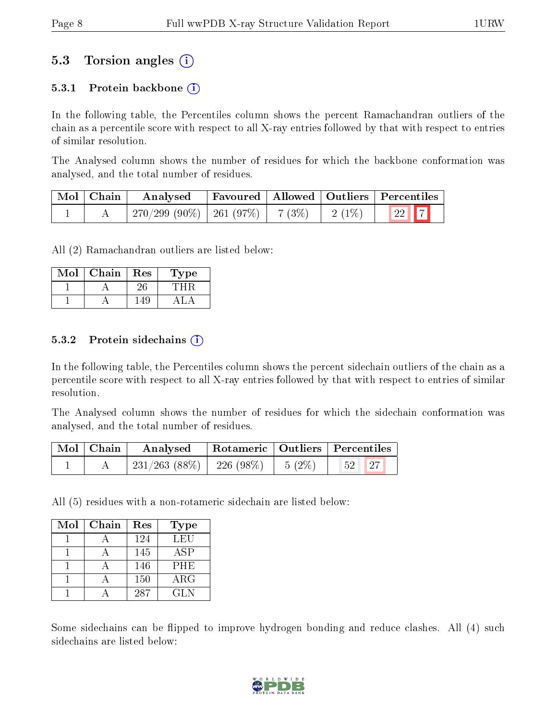## 5.3 Torsion angles (i)

#### 5.3.1 Protein backbone  $(i)$

In the following table, the Percentiles column shows the percent Ramachandran outliers of the chain as a percentile score with respect to all X-ray entries followed by that with respect to entries of similar resolution.

The Analysed column shows the number of residues for which the backbone conformation was analysed, and the total number of residues.

| Mol   Chain | Analysed                                |  |          | Favoured   Allowed   Outliers   Percentiles |
|-------------|-----------------------------------------|--|----------|---------------------------------------------|
|             | $270/299 (90\%)$   261 (97\%)   7 (3\%) |  | $2(1\%)$ | $\boxed{22}$ $\boxed{7}$                    |

All (2) Ramachandran outliers are listed below:

| Mol | Chain | Res | ype |
|-----|-------|-----|-----|
|     |       |     |     |
|     |       |     |     |

#### 5.3.2 Protein sidechains  $(i)$

In the following table, the Percentiles column shows the percent sidechain outliers of the chain as a percentile score with respect to all X-ray entries followed by that with respect to entries of similar resolution.

The Analysed column shows the number of residues for which the sidechain conformation was analysed, and the total number of residues.

| Mol   Chain | Analysed                                | $\perp$ Rotameric   Outliers   Percentiles |                                                                 |  |
|-------------|-----------------------------------------|--------------------------------------------|-----------------------------------------------------------------|--|
|             | $231/263$ (88\%)   226 (98\%)   5 (2\%) |                                            | $\begin{array}{ c c c c c }\hline 52 & 27 \ \hline \end{array}$ |  |

All (5) residues with a non-rotameric sidechain are listed below:

| Mol | Chain | Res | <b>Type</b> |
|-----|-------|-----|-------------|
|     |       | 124 | LEU         |
|     |       | 145 | <b>ASP</b>  |
|     |       | 146 | <b>PHE</b>  |
|     |       | 150 | $\rm{ARG}$  |
|     |       | 287 | GLN.        |

Some sidechains can be flipped to improve hydrogen bonding and reduce clashes. All (4) such sidechains are listed below:

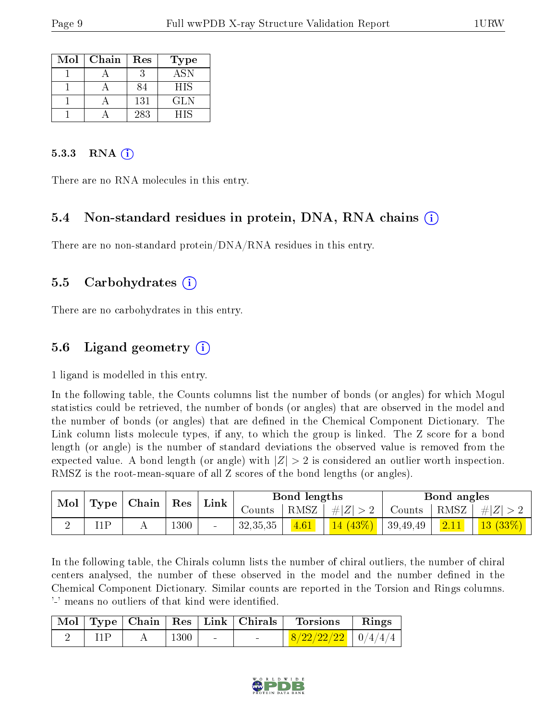| Mol | Chain | Res | <b>Type</b> |
|-----|-------|-----|-------------|
|     |       |     | <b>ASN</b>  |
|     |       | 84  | <b>HIS</b>  |
|     |       | 131 | GLN         |
|     |       | 283 | НIS         |

#### 5.3.3 RNA  $(i)$

There are no RNA molecules in this entry.

#### 5.4 Non-standard residues in protein, DNA, RNA chains (i)

There are no non-standard protein/DNA/RNA residues in this entry.

#### 5.5 Carbohydrates (i)

There are no carbohydrates in this entry.

## 5.6 Ligand geometry (i)

1 ligand is modelled in this entry.

In the following table, the Counts columns list the number of bonds (or angles) for which Mogul statistics could be retrieved, the number of bonds (or angles) that are observed in the model and the number of bonds (or angles) that are defined in the Chemical Component Dictionary. The Link column lists molecule types, if any, to which the group is linked. The Z score for a bond length (or angle) is the number of standard deviations the observed value is removed from the expected value. A bond length (or angle) with  $|Z| > 2$  is considered an outlier worth inspection. RMSZ is the root-mean-square of all Z scores of the bond lengths (or angles).

| Mol | Type | Chain | Res      | Link   |            | Bond lengths |            |          | Bond angles |         |
|-----|------|-------|----------|--------|------------|--------------|------------|----------|-------------|---------|
|     |      |       |          | Counts | RMSZ       | $\# Z $      | Counts     | RMSZ     | H Z         |         |
|     | '1 D |       | $1300\,$ | $\sim$ | 32, 35, 35 | 4.61         | $14(43\%)$ | 39,49,49 | 2.11        | 13(33%) |

In the following table, the Chirals column lists the number of chiral outliers, the number of chiral centers analysed, the number of these observed in the model and the number defined in the Chemical Component Dictionary. Similar counts are reported in the Torsion and Rings columns. '-' means no outliers of that kind were identified.

|  |      | Mol   Type   Chain   Res   Link   Chirals | Torsions                 | Rings |
|--|------|-------------------------------------------|--------------------------|-------|
|  | 1300 | <b>Contract Contract</b>                  | $8/22/22/22$   $0/4/4/4$ |       |

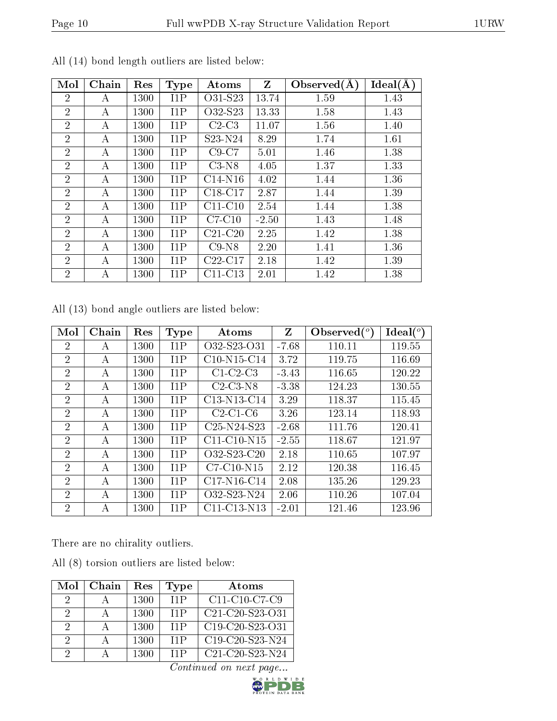| Mol            | Chain | Res  | <b>Type</b> | Atoms     | Z       | Observed $(A)$ | Ideal(A) |
|----------------|-------|------|-------------|-----------|---------|----------------|----------|
| $\overline{2}$ | A     | 1300 | 11P         | O31-S23   | 13.74   | 1.59           | 1.43     |
| $\overline{2}$ | A     | 1300 | 11P         | O32-S23   | 13.33   | 1.58           | 1.43     |
| $\overline{2}$ | А     | 1300 | 11P         | $C2-C3$   | 11.07   | 1.56           | 1.40     |
| $\overline{2}$ | A     | 1300 | 11P         | S23-N24   | 8.29    | 1.74           | 1.61     |
| $\overline{2}$ | A     | 1300 | 11P         | $C9-C7$   | 5.01    | 1.46           | 1.38     |
| $\overline{2}$ | А     | 1300 | 11P         | $C3-N8$   | 4.05    | 1.37           | 1.33     |
| $\overline{2}$ | A     | 1300 | 11P         | $C14-N16$ | 4.02    | 1.44           | 1.36     |
| $\overline{2}$ | А     | 1300 | 11P         | $C18-C17$ | 2.87    | 1.44           | 1.39     |
| $\overline{2}$ | A     | 1300 | 11P         | $C11-C10$ | 2.54    | 1.44           | 1.38     |
| $\overline{2}$ | A     | 1300 | 11P         | $C7-C10$  | $-2.50$ | 1.43           | 1.48     |
| $\overline{2}$ | A     | 1300 | 11P         | $C21-C20$ | 2.25    | 1.42           | 1.38     |
| $\overline{2}$ | А     | 1300 | 11P         | $C9-N8$   | 2.20    | 1.41           | 1.36     |
| $\overline{2}$ | А     | 1300 | 11P         | $C22-C17$ | 2.18    | 1.42           | 1.39     |
| $\overline{2}$ | A     | 1300 | 11P         | $C11-C13$ | 2.01    | 1.42           | 1.38     |

All (14) bond length outliers are listed below:

All (13) bond angle outliers are listed below:

| Mol            | Chain | Res  | Type | Atoms                                             | Z       | Observed $\binom{o}{c}$ | Ideal (°) |
|----------------|-------|------|------|---------------------------------------------------|---------|-------------------------|-----------|
| 2              | А     | 1300 | 11P  | O32-S23-O31                                       | $-7.68$ | 110.11                  | 119.55    |
| $\overline{2}$ | А     | 1300 | 11P  | $C10-N15-C14$                                     | 3.72    | 119.75                  | 116.69    |
| $\overline{2}$ | А     | 1300 | 11P  | $C1-C2-C3$                                        | $-3.43$ | 116.65                  | 120.22    |
| $\overline{2}$ | А     | 1300 | 11P  | $C2-C3-N8$                                        | $-3.38$ | 124.23                  | 130.55    |
| 2              | А     | 1300 | 11P  | C13-N13-C14                                       | 3.29    | 118.37                  | 115.45    |
| $\overline{2}$ | А     | 1300 | 11P  | $C2-C1-C6$                                        | 3.26    | 123.14                  | 118.93    |
| $\overline{2}$ | А     | 1300 | 11P  | C <sub>25</sub> -N <sub>24</sub> -S <sub>23</sub> | $-2.68$ | 111.76                  | 120.41    |
| $\overline{2}$ | А     | 1300 | 11P  | $C11-C10-N15$                                     | $-2.55$ | 118.67                  | 121.97    |
| 2              | А     | 1300 | 11P  | O32-S23-C20                                       | 2.18    | 110.65                  | 107.97    |
| $\overline{2}$ | А     | 1300 | 11P  | $C7-C10-N15$                                      | 2.12    | 120.38                  | 116.45    |
| $\overline{2}$ | А     | 1300 | 11P  | $C17-N16-C14$                                     | 2.08    | 135.26                  | 129.23    |
| $\overline{2}$ | А     | 1300 | 11P  | O32-S23-N24                                       | 2.06    | 110.26                  | 107.04    |
| $\overline{2}$ | А     | 1300 | 11P  | C11-C13-N13                                       | $-2.01$ | 121.46                  | 123.96    |

There are no chirality outliers.

All (8) torsion outliers are listed below:

| Mol      | Chain | Res  | Type | Atoms             |
|----------|-------|------|------|-------------------|
| 9        |       | 1300 | 11P  | C11-C10-C7-C9     |
| 2        |       | 1300 | 11P  | C21-C20-S23-O31   |
| $\Omega$ |       | 1300 | 11P  | $C19-C20-S23-C31$ |
| $\Omega$ |       | 1300 | 11P  | $C19-C20-S23-N24$ |
| 2        |       | 1300 | 11P  | $C21-C20-S23-N24$ |

Continued on next page...

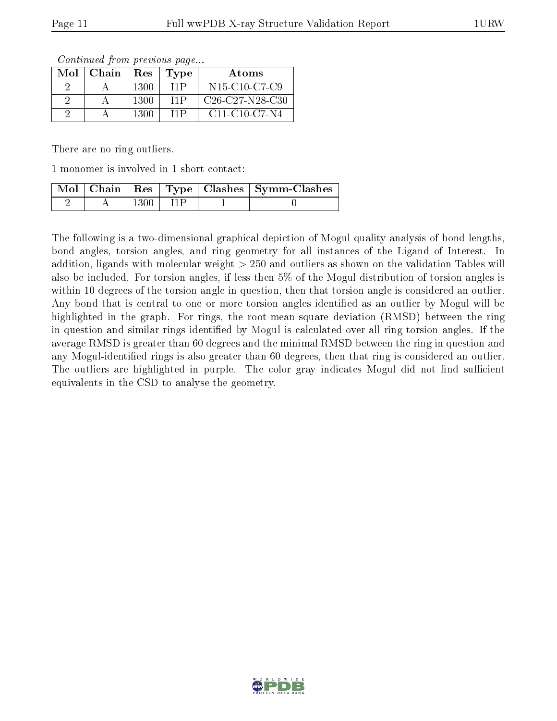| Mol | Chain | Res  | Type | Atoms                                                            |
|-----|-------|------|------|------------------------------------------------------------------|
|     |       | 1300 | 11P  | N <sub>15</sub> -C <sub>10</sub> -C <sub>7</sub> -C <sub>9</sub> |
|     |       | 1300 | 11P  | $C26-C27-N28-C30$                                                |
|     |       | 1300 | 11P  | $C11-C10-C7-N4$                                                  |

Continued from previous page...

There are no ring outliers.

1 monomer is involved in 1 short contact:

|  |      |  | Mol   Chain   Res   Type   Clashes   Symm-Clashes |
|--|------|--|---------------------------------------------------|
|  | 1300 |  |                                                   |

The following is a two-dimensional graphical depiction of Mogul quality analysis of bond lengths, bond angles, torsion angles, and ring geometry for all instances of the Ligand of Interest. In addition, ligands with molecular weight > 250 and outliers as shown on the validation Tables will also be included. For torsion angles, if less then 5% of the Mogul distribution of torsion angles is within 10 degrees of the torsion angle in question, then that torsion angle is considered an outlier. Any bond that is central to one or more torsion angles identified as an outlier by Mogul will be highlighted in the graph. For rings, the root-mean-square deviation (RMSD) between the ring in question and similar rings identified by Mogul is calculated over all ring torsion angles. If the average RMSD is greater than 60 degrees and the minimal RMSD between the ring in question and any Mogul-identified rings is also greater than 60 degrees, then that ring is considered an outlier. The outliers are highlighted in purple. The color gray indicates Mogul did not find sufficient equivalents in the CSD to analyse the geometry.

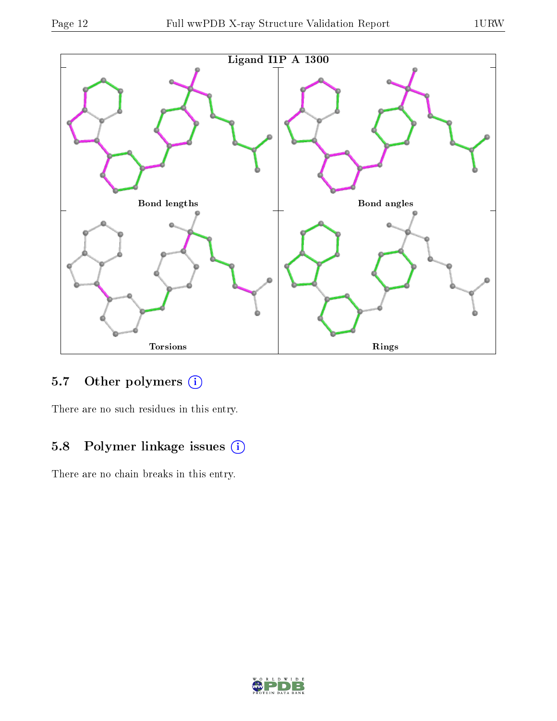

## 5.7 [O](https://www.wwpdb.org/validation/2017/XrayValidationReportHelp#nonstandard_residues_and_ligands)ther polymers (i)

There are no such residues in this entry.

### 5.8 Polymer linkage issues (i)

There are no chain breaks in this entry.

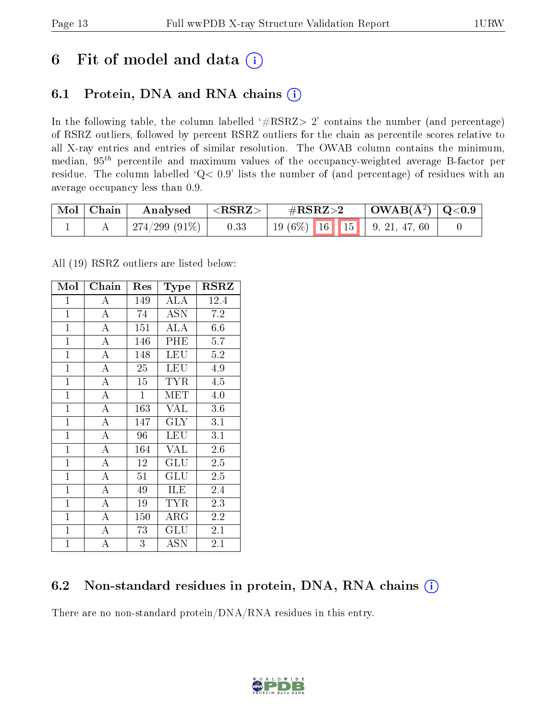# 6 Fit of model and data  $(i)$

# 6.1 Protein, DNA and RNA chains  $(i)$

In the following table, the column labelled  $#RSRZ> 2'$  contains the number (and percentage) of RSRZ outliers, followed by percent RSRZ outliers for the chain as percentile scores relative to all X-ray entries and entries of similar resolution. The OWAB column contains the minimum, median,  $95<sup>th</sup>$  percentile and maximum values of the occupancy-weighted average B-factor per residue. The column labelled ' $Q< 0.9$ ' lists the number of (and percentage) of residues with an average occupancy less than 0.9.

| $\mid$ Mol $\mid$ Chain | Analysed      | $\mid$ ${ <}\text{RSRZ} {>}$ | $\rm \#RSRZ{>}2$                     | $\mid$ OWAB(Å <sup>2</sup> ) $\mid$ Q<0.9 |  |
|-------------------------|---------------|------------------------------|--------------------------------------|-------------------------------------------|--|
|                         | 274/299 (91%) | 0.33                         | 19 (6\%)   16   15     9, 21, 47, 60 |                                           |  |

All (19) RSRZ outliers are listed below:

| Mol            | Chain              | Res          | <b>Type</b>          | RSRZ    |
|----------------|--------------------|--------------|----------------------|---------|
| $\mathbf{1}$   | $\boldsymbol{A}$   | 149          | <b>ALA</b>           | 12.4    |
| $\mathbf{1}$   | $\overline{\rm A}$ | 74           | <b>ASN</b>           | 7.2     |
| $\mathbf{1}$   | $\overline{\rm A}$ | 151          | ALA                  | 6.6     |
| $\mathbf{1}$   | $\overline{\rm A}$ | 146          | $\overline{PHE}$     | 5.7     |
| $\mathbf{1}$   | $\overline{\rm A}$ | 148          | LEU                  | 5.2     |
| $\mathbf{1}$   | $\overline{\rm A}$ | 25           | <b>LEU</b>           | 4.9     |
| $\mathbf{1}$   | $\overline{A}$     | 15           | <b>TYR</b>           | 4.5     |
| $\overline{1}$ | $\overline{A}$     | $\mathbf{1}$ | MET                  | 4.0     |
| $\mathbf{1}$   | $\overline{A}$     | 163          | <b>VAL</b>           | 3.6     |
| $\mathbf{1}$   | $\overline{\rm A}$ | 147          | <b>GLY</b>           | 3.1     |
| $\mathbf{1}$   | $\overline{A}$     | 96           | LEU                  | 3.1     |
| $\mathbf{1}$   | $\overline{\rm A}$ | 164          | <b>VAL</b>           | 2.6     |
| $\mathbf{1}$   | $\overline{A}$     | 12           | GLU                  | 2.5     |
| $\mathbf{1}$   | $\bf{A}$           | 51           | GLU                  | 2.5     |
| $\mathbf{1}$   | $\overline{A}$     | 49           | ILE                  | 2.4     |
| $\mathbf{1}$   | $\bf{A}$           | 19           | <b>TYR</b>           | 2.3     |
| $\mathbf{1}$   | $\overline{\rm A}$ | 150          | ${\rm ARG}$          | 2.2     |
| $\mathbf{1}$   | $\overline{A}$     | 73           | $\operatorname{GLU}$ | 2.1     |
| $\mathbf{1}$   | A                  | 3            | ASN                  | $2.1\,$ |

# 6.2 Non-standard residues in protein, DNA, RNA chains  $(i)$

There are no non-standard protein/DNA/RNA residues in this entry.